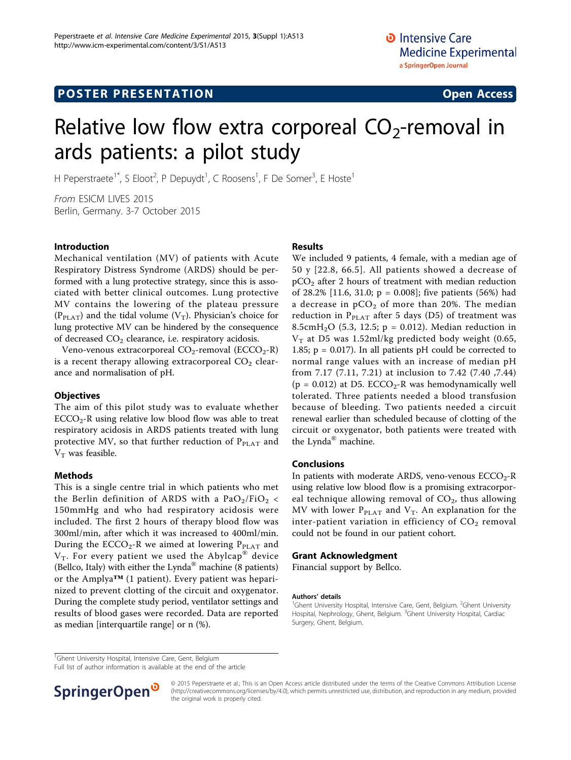# Relative low flow extra corporeal  $CO<sub>2</sub>$ -removal in ards patients: a pilot study

H Peperstraete<sup>1\*</sup>, S Eloot<sup>2</sup>, P Depuydt<sup>1</sup>, C Roosens<sup>1</sup>, F De Somer<sup>3</sup>, E Hoste<sup>1</sup>

From ESICM LIVES 2015 Berlin, Germany. 3-7 October 2015

### Introduction

Mechanical ventilation (MV) of patients with Acute Respiratory Distress Syndrome (ARDS) should be performed with a lung protective strategy, since this is associated with better clinical outcomes. Lung protective MV contains the lowering of the plateau pressure  $(P_{\text{PLAT}})$  and the tidal volume  $(V_T)$ . Physician's choice for lung protective MV can be hindered by the consequence of decreased  $CO<sub>2</sub>$  clearance, i.e. respiratory acidosis.

Veno-venous extracorporeal  $CO_2$ -removal (ECCO<sub>2</sub>-R) is a recent therapy allowing extracorporeal  $CO<sub>2</sub>$  clearance and normalisation of pH.

#### **Objectives**

The aim of this pilot study was to evaluate whether  $ECCO<sub>2</sub>$ -R using relative low blood flow was able to treat respiratory acidosis in ARDS patients treated with lung protective MV, so that further reduction of  $P_{PLAT}$  and  $V_T$  was feasible.

#### Methods

This is a single centre trial in which patients who met the Berlin definition of ARDS with a  $PaO<sub>2</sub>/FiO<sub>2</sub>$  < 150mmHg and who had respiratory acidosis were included. The first 2 hours of therapy blood flow was 300ml/min, after which it was increased to 400ml/min. During the  $ECCO_2$ -R we aimed at lowering  $P_{PLAT}$  and  $V_T$ . For every patient we used the Abylcap<sup>®</sup> device (Bellco, Italy) with either the Lynda® machine (8 patients) or the Amplya™ (1 patient). Every patient was heparinized to prevent clotting of the circuit and oxygenator. During the complete study period, ventilator settings and results of blood gases were recorded. Data are reported as median [interquartile range] or n (%).

#### Results

We included 9 patients, 4 female, with a median age of 50 y [22.8, 66.5]. All patients showed a decrease of  $pCO<sub>2</sub>$  after 2 hours of treatment with median reduction of 28.2% [11.6, 31.0;  $p = 0.008$ ]; five patients (56%) had a decrease in  $pCO<sub>2</sub>$  of more than 20%. The median reduction in  $P_{\text{PLAT}}$  after 5 days (D5) of treatment was 8.5cm $H_2O$  (5.3, 12.5; p = 0.012). Median reduction in  $V_T$  at D5 was 1.52ml/kg predicted body weight (0.65, 1.85;  $p = 0.017$ ). In all patients pH could be corrected to normal range values with an increase of median pH from 7.17 (7.11, 7.21) at inclusion to 7.42 (7.40 ,7.44) ( $p = 0.012$ ) at D5. ECCO<sub>2</sub>-R was hemodynamically well tolerated. Three patients needed a blood transfusion because of bleeding. Two patients needed a circuit renewal earlier than scheduled because of clotting of the circuit or oxygenator, both patients were treated with the Lynda® machine.

#### Conclusions

In patients with moderate ARDS, veno-venous  $ECCO<sub>2</sub>$ -R using relative low blood flow is a promising extracorporeal technique allowing removal of  $CO<sub>2</sub>$ , thus allowing MV with lower  $P_{\text{PLAT}}$  and  $V_T$ . An explanation for the inter-patient variation in efficiency of  $CO<sub>2</sub>$  removal could not be found in our patient cohort.

#### Grant Acknowledgment

Financial support by Bellco.

#### Authors' details <sup>1</sup>

<sup>1</sup>Ghent University Hospital, Intensive Care, Gent, Belgium

Full list of author information is available at the end of the article



© 2015 Peperstraete et al.; This is an Open Access article distributed under the terms of the Creative Commons Attribution License [\(http://creativecommons.org/licenses/by/4.0](http://creativecommons.org/licenses/by/4.0)), which permits unrestricted use, distribution, and reproduction in any medium, provided the original work is properly cited.

Ghent University Hospital, Intensive Care, Gent, Belgium. <sup>2</sup>Ghent University Hospital, Nephrology, Ghent, Belgium. <sup>3</sup>Ghent University Hospital, Cardiac Surgery, Ghent, Belgium.